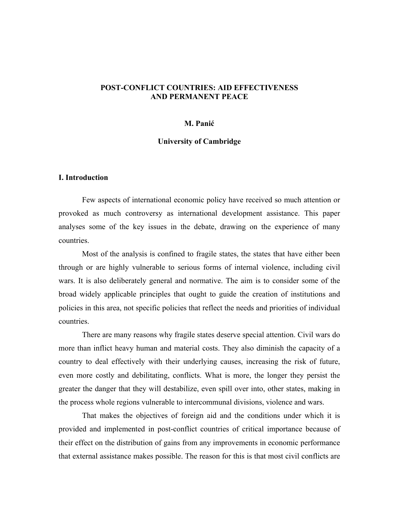# **POST-CONFLICT COUNTRIES: AID EFFECTIVENESS AND PERMANENT PEACE**

#### **M. Panić**

### **University of Cambridge**

#### **I. Introduction**

Few aspects of international economic policy have received so much attention or provoked as much controversy as international development assistance. This paper analyses some of the key issues in the debate, drawing on the experience of many countries.

Most of the analysis is confined to fragile states, the states that have either been through or are highly vulnerable to serious forms of internal violence, including civil wars. It is also deliberately general and normative. The aim is to consider some of the broad widely applicable principles that ought to guide the creation of institutions and policies in this area, not specific policies that reflect the needs and priorities of individual countries.

There are many reasons why fragile states deserve special attention. Civil wars do more than inflict heavy human and material costs. They also diminish the capacity of a country to deal effectively with their underlying causes, increasing the risk of future, even more costly and debilitating, conflicts. What is more, the longer they persist the greater the danger that they will destabilize, even spill over into, other states, making in the process whole regions vulnerable to intercommunal divisions, violence and wars.

That makes the objectives of foreign aid and the conditions under which it is provided and implemented in post-conflict countries of critical importance because of their effect on the distribution of gains from any improvements in economic performance that external assistance makes possible. The reason for this is that most civil conflicts are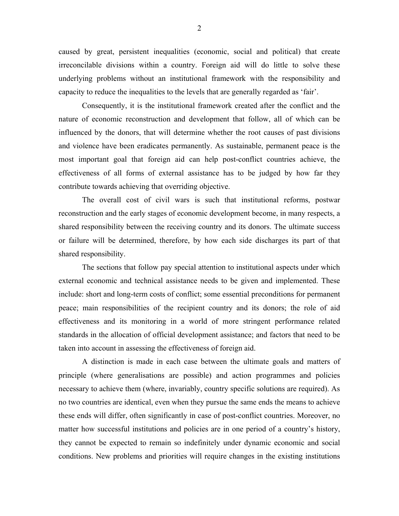caused by great, persistent inequalities (economic, social and political) that create irreconcilable divisions within a country. Foreign aid will do little to solve these underlying problems without an institutional framework with the responsibility and capacity to reduce the inequalities to the levels that are generally regarded as 'fair'.

Consequently, it is the institutional framework created after the conflict and the nature of economic reconstruction and development that follow, all of which can be influenced by the donors, that will determine whether the root causes of past divisions and violence have been eradicates permanently. As sustainable, permanent peace is the most important goal that foreign aid can help post-conflict countries achieve, the effectiveness of all forms of external assistance has to be judged by how far they contribute towards achieving that overriding objective.

The overall cost of civil wars is such that institutional reforms, postwar reconstruction and the early stages of economic development become, in many respects, a shared responsibility between the receiving country and its donors. The ultimate success or failure will be determined, therefore, by how each side discharges its part of that shared responsibility.

The sections that follow pay special attention to institutional aspects under which external economic and technical assistance needs to be given and implemented. These include: short and long-term costs of conflict; some essential preconditions for permanent peace; main responsibilities of the recipient country and its donors; the role of aid effectiveness and its monitoring in a world of more stringent performance related standards in the allocation of official development assistance; and factors that need to be taken into account in assessing the effectiveness of foreign aid.

A distinction is made in each case between the ultimate goals and matters of principle (where generalisations are possible) and action programmes and policies necessary to achieve them (where, invariably, country specific solutions are required). As no two countries are identical, even when they pursue the same ends the means to achieve these ends will differ, often significantly in case of post-conflict countries. Moreover, no matter how successful institutions and policies are in one period of a country's history, they cannot be expected to remain so indefinitely under dynamic economic and social conditions. New problems and priorities will require changes in the existing institutions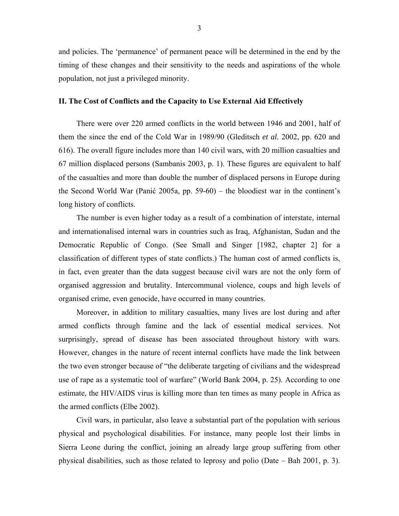and policies. The 'permanence' of permanent peace will be determined in the end by the timing of these changes and their sensitivity to the needs and aspirations of the whole population, not just a privileged minority.

### **II. The Cost of Conflicts and the Capacity to Use External Aid Effectively**

There were over 220 armed conflicts in the world between 1946 and 2001, half of them the since the end of the Cold War in 1989/90 (Gleditsch *et al.* 2002, pp. 620 and 616). The overall figure includes more than 140 civil wars, with 20 million casualties and 67 million displaced persons (Sambanis 2003, p. 1). These figures are equivalent to half of the casualties and more than double the number of displaced persons in Europe during the Second World War (Panić 2005a, pp. 59-60) – the bloodiest war in the continent's long history of conflicts.

The number is even higher today as a result of a combination of interstate, internal and internationalised internal wars in countries such as Iraq, Afghanistan, Sudan and the Democratic Republic of Congo. (See Small and Singer [1982, chapter 2] for a classification of different types of state conflicts.) The human cost of armed conflicts is, in fact, even greater than the data suggest because civil wars are not the only form of organised aggression and brutality. Intercommunal violence, coups and high levels of organised crime, even genocide, have occurred in many countries.

Moreover, in addition to military casualties, many lives are lost during and after armed conflicts through famine and the lack of essential medical services. Not surprisingly, spread of disease has been associated throughout history with wars. However, changes in the nature of recent internal conflicts have made the link between the two even stronger because of "the deliberate targeting of civilians and the widespread use of rape as a systematic tool of warfare" (World Bank 2004, p. 25). According to one estimate, the HIV/AIDS virus is killing more than ten times as many people in Africa as the armed conflicts (Elbe 2002).

Civil wars, in particular, also leave a substantial part of the population with serious physical and psychological disabilities. For instance, many people lost their limbs in Sierra Leone during the conflict, joining an already large group suffering from other physical disabilities, such as those related to leprosy and polio (Date – Bah 2001, p. 3).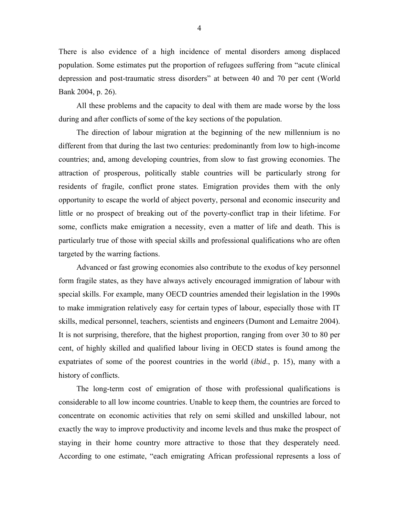There is also evidence of a high incidence of mental disorders among displaced population. Some estimates put the proportion of refugees suffering from "acute clinical depression and post-traumatic stress disorders" at between 40 and 70 per cent (World Bank 2004, p. 26).

All these problems and the capacity to deal with them are made worse by the loss during and after conflicts of some of the key sections of the population.

The direction of labour migration at the beginning of the new millennium is no different from that during the last two centuries: predominantly from low to high-income countries; and, among developing countries, from slow to fast growing economies. The attraction of prosperous, politically stable countries will be particularly strong for residents of fragile, conflict prone states. Emigration provides them with the only opportunity to escape the world of abject poverty, personal and economic insecurity and little or no prospect of breaking out of the poverty-conflict trap in their lifetime. For some, conflicts make emigration a necessity, even a matter of life and death. This is particularly true of those with special skills and professional qualifications who are often targeted by the warring factions.

Advanced or fast growing economies also contribute to the exodus of key personnel form fragile states, as they have always actively encouraged immigration of labour with special skills. For example, many OECD countries amended their legislation in the 1990s to make immigration relatively easy for certain types of labour, especially those with IT skills, medical personnel, teachers, scientists and engineers (Dumont and Lemaitre 2004). It is not surprising, therefore, that the highest proportion, ranging from over 30 to 80 per cent, of highly skilled and qualified labour living in OECD states is found among the expatriates of some of the poorest countries in the world (*ibid*., p. 15), many with a history of conflicts.

The long-term cost of emigration of those with professional qualifications is considerable to all low income countries. Unable to keep them, the countries are forced to concentrate on economic activities that rely on semi skilled and unskilled labour, not exactly the way to improve productivity and income levels and thus make the prospect of staying in their home country more attractive to those that they desperately need. According to one estimate, "each emigrating African professional represents a loss of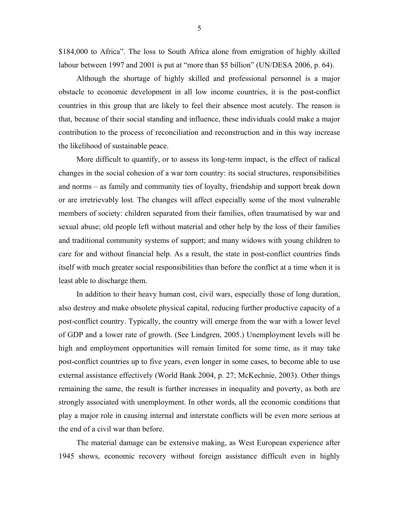\$184,000 to Africa". The loss to South Africa alone from emigration of highly skilled labour between 1997 and 2001 is put at "more than \$5 billion" (UN/DESA 2006, p. 64).

Although the shortage of highly skilled and professional personnel is a major obstacle to economic development in all low income countries, it is the post-conflict countries in this group that are likely to feel their absence most acutely. The reason is that, because of their social standing and influence, these individuals could make a major contribution to the process of reconciliation and reconstruction and in this way increase the likelihood of sustainable peace.

More difficult to quantify, or to assess its long-term impact, is the effect of radical changes in the social cohesion of a war torn country: its social structures, responsibilities and norms – as family and community ties of loyalty, friendship and support break down or are irretrievably lost. The changes will affect especially some of the most vulnerable members of society: children separated from their families, often traumatised by war and sexual abuse; old people left without material and other help by the loss of their families and traditional community systems of support; and many widows with young children to care for and without financial help. As a result, the state in post-conflict countries finds itself with much greater social responsibilities than before the conflict at a time when it is least able to discharge them.

In addition to their heavy human cost, civil wars, especially those of long duration, also destroy and make obsolete physical capital, reducing further productive capacity of a post-conflict country. Typically, the country will emerge from the war with a lower level of GDP and a lower rate of growth. (See Lindgren, 2005.) Unemployment levels will be high and employment opportunities will remain limited for some time, as it may take post-conflict countries up to five years, even longer in some cases, to become able to use external assistance effectively (World Bank 2004, p. 27; McKechnie, 2003). Other things remaining the same, the result is further increases in inequality and poverty, as both are strongly associated with unemployment. In other words, all the economic conditions that play a major role in causing internal and interstate conflicts will be even more serious at the end of a civil war than before.

The material damage can be extensive making, as West European experience after 1945 shows, economic recovery without foreign assistance difficult even in highly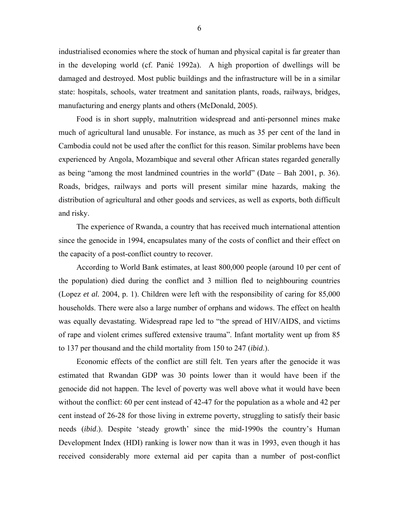industrialised economies where the stock of human and physical capital is far greater than in the developing world (cf. Panić 1992a). A high proportion of dwellings will be damaged and destroyed. Most public buildings and the infrastructure will be in a similar state: hospitals, schools, water treatment and sanitation plants, roads, railways, bridges, manufacturing and energy plants and others (McDonald, 2005).

Food is in short supply, malnutrition widespread and anti-personnel mines make much of agricultural land unusable. For instance, as much as 35 per cent of the land in Cambodia could not be used after the conflict for this reason. Similar problems have been experienced by Angola, Mozambique and several other African states regarded generally as being "among the most landmined countries in the world" (Date – Bah 2001, p. 36). Roads, bridges, railways and ports will present similar mine hazards, making the distribution of agricultural and other goods and services, as well as exports, both difficult and risky.

The experience of Rwanda, a country that has received much international attention since the genocide in 1994, encapsulates many of the costs of conflict and their effect on the capacity of a post-conflict country to recover.

According to World Bank estimates, at least 800,000 people (around 10 per cent of the population) died during the conflict and 3 million fled to neighbouring countries (Lopez *et al.* 2004, p. 1). Children were left with the responsibility of caring for 85,000 households. There were also a large number of orphans and widows. The effect on health was equally devastating. Widespread rape led to "the spread of HIV/AIDS, and victims of rape and violent crimes suffered extensive trauma". Infant mortality went up from 85 to 137 per thousand and the child mortality from 150 to 247 (*ibid*.).

Economic effects of the conflict are still felt. Ten years after the genocide it was estimated that Rwandan GDP was 30 points lower than it would have been if the genocide did not happen. The level of poverty was well above what it would have been without the conflict: 60 per cent instead of 42-47 for the population as a whole and 42 per cent instead of 26-28 for those living in extreme poverty, struggling to satisfy their basic needs (*ibid*.). Despite 'steady growth' since the mid-1990s the country's Human Development Index (HDI) ranking is lower now than it was in 1993, even though it has received considerably more external aid per capita than a number of post-conflict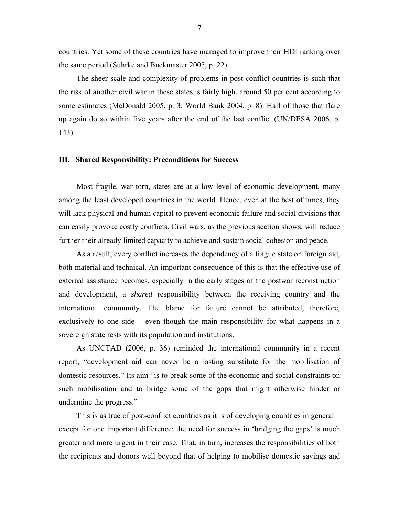countries. Yet some of these countries have managed to improve their HDI ranking over the same period (Suhrke and Buckmaster 2005, p. 22).

The sheer scale and complexity of problems in post-conflict countries is such that the risk of another civil war in these states is fairly high, around 50 per cent according to some estimates (McDonald 2005, p. 3; World Bank 2004, p. 8). Half of those that flare up again do so within five years after the end of the last conflict (UN/DESA 2006, p. 143).

#### **III. Shared Responsibility: Preconditions for Success**

Most fragile, war torn, states are at a low level of economic development, many among the least developed countries in the world. Hence, even at the best of times, they will lack physical and human capital to prevent economic failure and social divisions that can easily provoke costly conflicts. Civil wars, as the previous section shows, will reduce further their already limited capacity to achieve and sustain social cohesion and peace.

As a result, every conflict increases the dependency of a fragile state on foreign aid, both material and technical. An important consequence of this is that the effective use of external assistance becomes, especially in the early stages of the postwar reconstruction and development, a *shared* responsibility between the receiving country and the international community. The blame for failure cannot be attributed, therefore, exclusively to one side – even though the main responsibility for what happens in a sovereign state rests with its population and institutions.

As UNCTAD (2006, p. 36) reminded the international community in a recent report, "development aid can never be a lasting substitute for the mobilisation of domestic resources." Its aim "is to break some of the economic and social constraints on such mobilisation and to bridge some of the gaps that might otherwise hinder or undermine the progress."

This is as true of post-conflict countries as it is of developing countries in general – except for one important difference: the need for success in 'bridging the gaps' is much greater and more urgent in their case. That, in turn, increases the responsibilities of both the recipients and donors well beyond that of helping to mobilise domestic savings and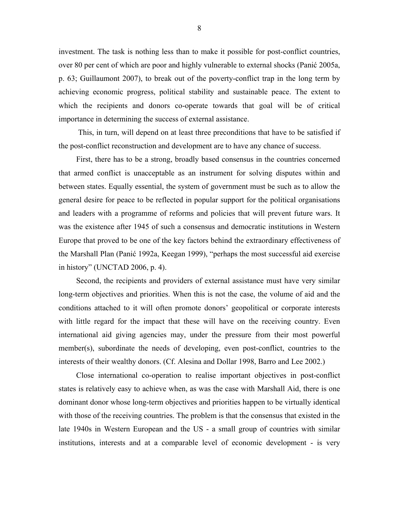investment. The task is nothing less than to make it possible for post-conflict countries, over 80 per cent of which are poor and highly vulnerable to external shocks (Panić 2005a, p. 63; Guillaumont 2007), to break out of the poverty-conflict trap in the long term by achieving economic progress, political stability and sustainable peace. The extent to which the recipients and donors co-operate towards that goal will be of critical importance in determining the success of external assistance.

 This, in turn, will depend on at least three preconditions that have to be satisfied if the post-conflict reconstruction and development are to have any chance of success.

First, there has to be a strong, broadly based consensus in the countries concerned that armed conflict is unacceptable as an instrument for solving disputes within and between states. Equally essential, the system of government must be such as to allow the general desire for peace to be reflected in popular support for the political organisations and leaders with a programme of reforms and policies that will prevent future wars. It was the existence after 1945 of such a consensus and democratic institutions in Western Europe that proved to be one of the key factors behind the extraordinary effectiveness of the Marshall Plan (Panić 1992a, Keegan 1999), "perhaps the most successful aid exercise in history" (UNCTAD 2006, p. 4).

Second, the recipients and providers of external assistance must have very similar long-term objectives and priorities. When this is not the case, the volume of aid and the conditions attached to it will often promote donors' geopolitical or corporate interests with little regard for the impact that these will have on the receiving country. Even international aid giving agencies may, under the pressure from their most powerful member(s), subordinate the needs of developing, even post-conflict, countries to the interests of their wealthy donors. (Cf. Alesina and Dollar 1998, Barro and Lee 2002.)

Close international co-operation to realise important objectives in post-conflict states is relatively easy to achieve when, as was the case with Marshall Aid, there is one dominant donor whose long-term objectives and priorities happen to be virtually identical with those of the receiving countries. The problem is that the consensus that existed in the late 1940s in Western European and the US - a small group of countries with similar institutions, interests and at a comparable level of economic development - is very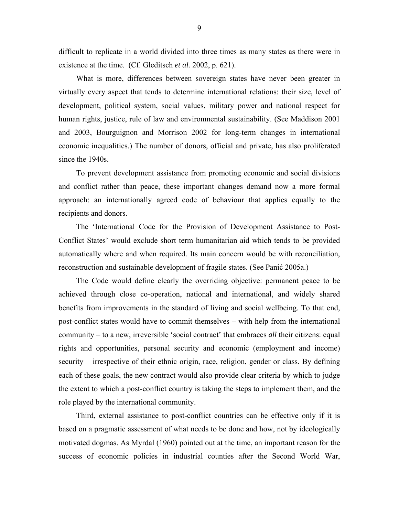difficult to replicate in a world divided into three times as many states as there were in existence at the time. (Cf. Gleditsch *et al.* 2002, p. 621).

What is more, differences between sovereign states have never been greater in virtually every aspect that tends to determine international relations: their size, level of development, political system, social values, military power and national respect for human rights, justice, rule of law and environmental sustainability. (See Maddison 2001 and 2003, Bourguignon and Morrison 2002 for long-term changes in international economic inequalities.) The number of donors, official and private, has also proliferated since the 1940s.

To prevent development assistance from promoting economic and social divisions and conflict rather than peace, these important changes demand now a more formal approach: an internationally agreed code of behaviour that applies equally to the recipients and donors.

The 'International Code for the Provision of Development Assistance to Post-Conflict States' would exclude short term humanitarian aid which tends to be provided automatically where and when required. Its main concern would be with reconciliation, reconstruction and sustainable development of fragile states. (See Panić 2005a.)

The Code would define clearly the overriding objective: permanent peace to be achieved through close co-operation, national and international, and widely shared benefits from improvements in the standard of living and social wellbeing. To that end, post-conflict states would have to commit themselves – with help from the international community – to a new, irreversible 'social contract' that embraces *all* their citizens: equal rights and opportunities, personal security and economic (employment and income) security – irrespective of their ethnic origin, race, religion, gender or class. By defining each of these goals, the new contract would also provide clear criteria by which to judge the extent to which a post-conflict country is taking the steps to implement them, and the role played by the international community.

Third, external assistance to post-conflict countries can be effective only if it is based on a pragmatic assessment of what needs to be done and how, not by ideologically motivated dogmas. As Myrdal (1960) pointed out at the time, an important reason for the success of economic policies in industrial counties after the Second World War,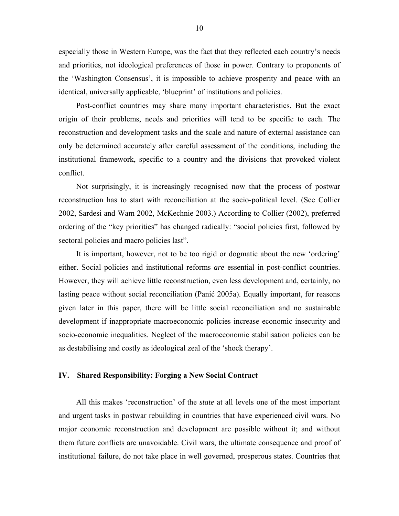especially those in Western Europe, was the fact that they reflected each country's needs and priorities, not ideological preferences of those in power. Contrary to proponents of the 'Washington Consensus', it is impossible to achieve prosperity and peace with an identical, universally applicable, 'blueprint' of institutions and policies.

Post-conflict countries may share many important characteristics. But the exact origin of their problems, needs and priorities will tend to be specific to each. The reconstruction and development tasks and the scale and nature of external assistance can only be determined accurately after careful assessment of the conditions, including the institutional framework, specific to a country and the divisions that provoked violent conflict.

Not surprisingly, it is increasingly recognised now that the process of postwar reconstruction has to start with reconciliation at the socio-political level. (See Collier 2002, Sardesi and Wam 2002, McKechnie 2003.) According to Collier (2002), preferred ordering of the "key priorities" has changed radically: "social policies first, followed by sectoral policies and macro policies last".

It is important, however, not to be too rigid or dogmatic about the new 'ordering' either. Social policies and institutional reforms *are* essential in post-conflict countries. However, they will achieve little reconstruction, even less development and, certainly, no lasting peace without social reconciliation (Panić 2005a). Equally important, for reasons given later in this paper, there will be little social reconciliation and no sustainable development if inappropriate macroeconomic policies increase economic insecurity and socio-economic inequalities. Neglect of the macroeconomic stabilisation policies can be as destabilising and costly as ideological zeal of the 'shock therapy'.

#### **IV. Shared Responsibility: Forging a New Social Contract**

All this makes 'reconstruction' of the *state* at all levels one of the most important and urgent tasks in postwar rebuilding in countries that have experienced civil wars. No major economic reconstruction and development are possible without it; and without them future conflicts are unavoidable. Civil wars, the ultimate consequence and proof of institutional failure, do not take place in well governed, prosperous states. Countries that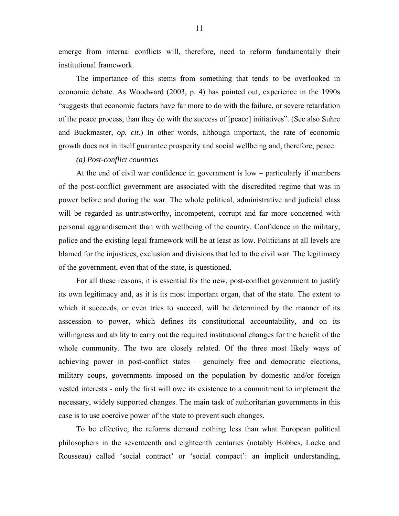emerge from internal conflicts will, therefore, need to reform fundamentally their institutional framework.

The importance of this stems from something that tends to be overlooked in economic debate. As Woodward (2003, p. 4) has pointed out, experience in the 1990s "suggests that economic factors have far more to do with the failure, or severe retardation of the peace process, than they do with the success of [peace] initiatives". (See also Suhre and Buckmaster, *op. cit.*) In other words, although important, the rate of economic growth does not in itself guarantee prosperity and social wellbeing and, therefore, peace.

# *(a) Post-conflict countries*

At the end of civil war confidence in government is low – particularly if members of the post-conflict government are associated with the discredited regime that was in power before and during the war. The whole political, administrative and judicial class will be regarded as untrustworthy, incompetent, corrupt and far more concerned with personal aggrandisement than with wellbeing of the country. Confidence in the military, police and the existing legal framework will be at least as low. Politicians at all levels are blamed for the injustices, exclusion and divisions that led to the civil war. The legitimacy of the government, even that of the state, is questioned.

For all these reasons, it is essential for the new, post-conflict government to justify its own legitimacy and, as it is its most important organ, that of the state. The extent to which it succeeds, or even tries to succeed, will be determined by the manner of its asscession to power, which defines its constitutional accountability, and on its willingness and ability to carry out the required institutional changes for the benefit of the whole community. The two are closely related. Of the three most likely ways of achieving power in post-conflict states – genuinely free and democratic elections, military coups, governments imposed on the population by domestic and/or foreign vested interests - only the first will owe its existence to a commitment to implement the necessary, widely supported changes. The main task of authoritarian governments in this case is to use coercive power of the state to prevent such changes.

To be effective, the reforms demand nothing less than what European political philosophers in the seventeenth and eighteenth centuries (notably Hobbes, Locke and Rousseau) called 'social contract' or 'social compact': an implicit understanding,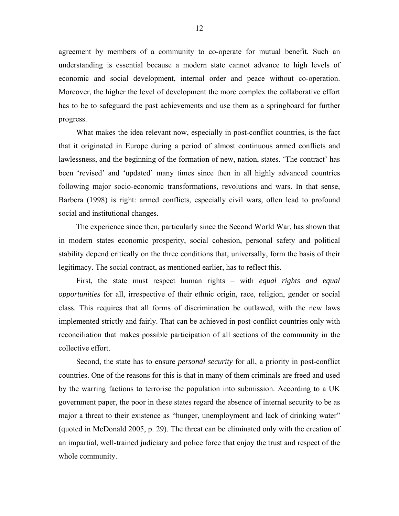agreement by members of a community to co-operate for mutual benefit. Such an understanding is essential because a modern state cannot advance to high levels of economic and social development, internal order and peace without co-operation. Moreover, the higher the level of development the more complex the collaborative effort has to be to safeguard the past achievements and use them as a springboard for further progress.

What makes the idea relevant now, especially in post-conflict countries, is the fact that it originated in Europe during a period of almost continuous armed conflicts and lawlessness, and the beginning of the formation of new, nation, states. 'The contract' has been 'revised' and 'updated' many times since then in all highly advanced countries following major socio-economic transformations, revolutions and wars. In that sense, Barbera (1998) is right: armed conflicts, especially civil wars, often lead to profound social and institutional changes.

The experience since then, particularly since the Second World War, has shown that in modern states economic prosperity, social cohesion, personal safety and political stability depend critically on the three conditions that, universally, form the basis of their legitimacy. The social contract, as mentioned earlier, has to reflect this.

First, the state must respect human rights – with *equal rights and equal opportunities* for all, irrespective of their ethnic origin, race, religion, gender or social class. This requires that all forms of discrimination be outlawed, with the new laws implemented strictly and fairly. That can be achieved in post-conflict countries only with reconciliation that makes possible participation of all sections of the community in the collective effort.

Second, the state has to ensure *personal security* for all, a priority in post-conflict countries. One of the reasons for this is that in many of them criminals are freed and used by the warring factions to terrorise the population into submission. According to a UK government paper, the poor in these states regard the absence of internal security to be as major a threat to their existence as "hunger, unemployment and lack of drinking water" (quoted in McDonald 2005, p. 29). The threat can be eliminated only with the creation of an impartial, well-trained judiciary and police force that enjoy the trust and respect of the whole community.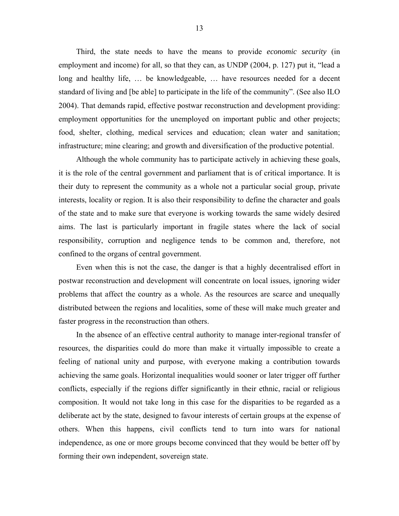Third, the state needs to have the means to provide *economic security* (in employment and income) for all, so that they can, as UNDP (2004, p. 127) put it, "lead a long and healthy life, ... be knowledgeable, ... have resources needed for a decent standard of living and [be able] to participate in the life of the community". (See also ILO 2004). That demands rapid, effective postwar reconstruction and development providing: employment opportunities for the unemployed on important public and other projects; food, shelter, clothing, medical services and education; clean water and sanitation; infrastructure; mine clearing; and growth and diversification of the productive potential.

Although the whole community has to participate actively in achieving these goals, it is the role of the central government and parliament that is of critical importance. It is their duty to represent the community as a whole not a particular social group, private interests, locality or region. It is also their responsibility to define the character and goals of the state and to make sure that everyone is working towards the same widely desired aims. The last is particularly important in fragile states where the lack of social responsibility, corruption and negligence tends to be common and, therefore, not confined to the organs of central government.

Even when this is not the case, the danger is that a highly decentralised effort in postwar reconstruction and development will concentrate on local issues, ignoring wider problems that affect the country as a whole. As the resources are scarce and unequally distributed between the regions and localities, some of these will make much greater and faster progress in the reconstruction than others.

In the absence of an effective central authority to manage inter-regional transfer of resources, the disparities could do more than make it virtually impossible to create a feeling of national unity and purpose, with everyone making a contribution towards achieving the same goals. Horizontal inequalities would sooner or later trigger off further conflicts, especially if the regions differ significantly in their ethnic, racial or religious composition. It would not take long in this case for the disparities to be regarded as a deliberate act by the state, designed to favour interests of certain groups at the expense of others. When this happens, civil conflicts tend to turn into wars for national independence, as one or more groups become convinced that they would be better off by forming their own independent, sovereign state.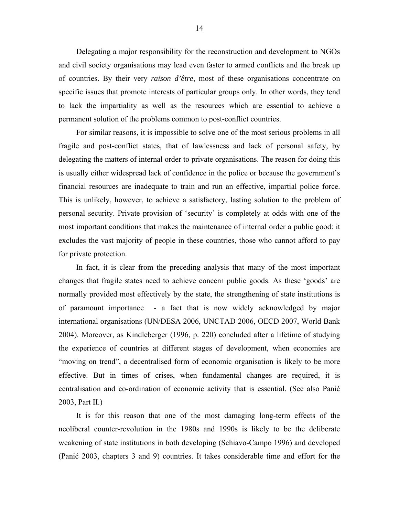Delegating a major responsibility for the reconstruction and development to NGOs and civil society organisations may lead even faster to armed conflicts and the break up of countries. By their very *raison d'être*, most of these organisations concentrate on specific issues that promote interests of particular groups only. In other words, they tend to lack the impartiality as well as the resources which are essential to achieve a permanent solution of the problems common to post-conflict countries.

For similar reasons, it is impossible to solve one of the most serious problems in all fragile and post-conflict states, that of lawlessness and lack of personal safety, by delegating the matters of internal order to private organisations. The reason for doing this is usually either widespread lack of confidence in the police or because the government's financial resources are inadequate to train and run an effective, impartial police force. This is unlikely, however, to achieve a satisfactory, lasting solution to the problem of personal security. Private provision of 'security' is completely at odds with one of the most important conditions that makes the maintenance of internal order a public good: it excludes the vast majority of people in these countries, those who cannot afford to pay for private protection.

In fact, it is clear from the preceding analysis that many of the most important changes that fragile states need to achieve concern public goods. As these 'goods' are normally provided most effectively by the state, the strengthening of state institutions is of paramount importance - a fact that is now widely acknowledged by major international organisations (UN/DESA 2006, UNCTAD 2006, OECD 2007, World Bank 2004). Moreover, as Kindleberger (1996, p. 220) concluded after a lifetime of studying the experience of countries at different stages of development, when economies are "moving on trend", a decentralised form of economic organisation is likely to be more effective. But in times of crises, when fundamental changes are required, it is centralisation and co-ordination of economic activity that is essential. (See also Panić 2003, Part II.)

It is for this reason that one of the most damaging long-term effects of the neoliberal counter-revolution in the 1980s and 1990s is likely to be the deliberate weakening of state institutions in both developing (Schiavo-Campo 1996) and developed (Panić 2003, chapters 3 and 9) countries. It takes considerable time and effort for the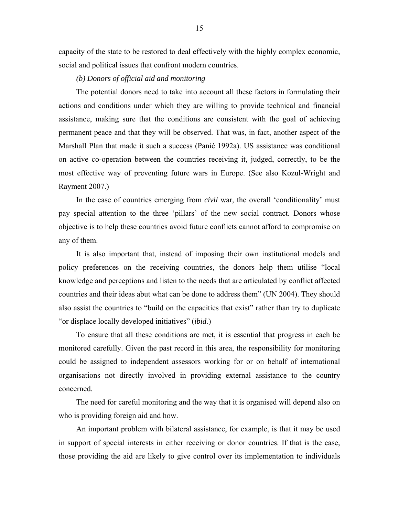capacity of the state to be restored to deal effectively with the highly complex economic, social and political issues that confront modern countries.

# *(b) Donors of official aid and monitoring*

The potential donors need to take into account all these factors in formulating their actions and conditions under which they are willing to provide technical and financial assistance, making sure that the conditions are consistent with the goal of achieving permanent peace and that they will be observed. That was, in fact, another aspect of the Marshall Plan that made it such a success (Panić 1992a). US assistance was conditional on active co-operation between the countries receiving it, judged, correctly, to be the most effective way of preventing future wars in Europe. (See also Kozul-Wright and Rayment 2007.)

In the case of countries emerging from *civil* war, the overall 'conditionality' must pay special attention to the three 'pillars' of the new social contract. Donors whose objective is to help these countries avoid future conflicts cannot afford to compromise on any of them.

It is also important that, instead of imposing their own institutional models and policy preferences on the receiving countries, the donors help them utilise "local knowledge and perceptions and listen to the needs that are articulated by conflict affected countries and their ideas abut what can be done to address them" (UN 2004). They should also assist the countries to "build on the capacities that exist" rather than try to duplicate "or displace locally developed initiatives" (*ibid.*)

To ensure that all these conditions are met, it is essential that progress in each be monitored carefully. Given the past record in this area, the responsibility for monitoring could be assigned to independent assessors working for or on behalf of international organisations not directly involved in providing external assistance to the country concerned.

The need for careful monitoring and the way that it is organised will depend also on who is providing foreign aid and how.

An important problem with bilateral assistance, for example, is that it may be used in support of special interests in either receiving or donor countries. If that is the case, those providing the aid are likely to give control over its implementation to individuals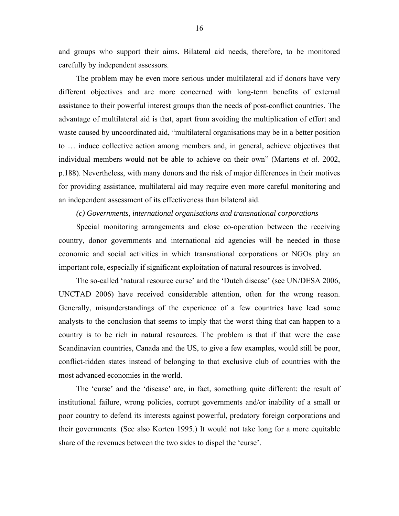and groups who support their aims. Bilateral aid needs, therefore, to be monitored carefully by independent assessors.

The problem may be even more serious under multilateral aid if donors have very different objectives and are more concerned with long-term benefits of external assistance to their powerful interest groups than the needs of post-conflict countries. The advantage of multilateral aid is that, apart from avoiding the multiplication of effort and waste caused by uncoordinated aid, "multilateral organisations may be in a better position to … induce collective action among members and, in general, achieve objectives that individual members would not be able to achieve on their own" (Martens *et al.* 2002, p.188). Nevertheless, with many donors and the risk of major differences in their motives for providing assistance, multilateral aid may require even more careful monitoring and an independent assessment of its effectiveness than bilateral aid.

# *(c) Governments, international organisations and transnational corporations*

Special monitoring arrangements and close co-operation between the receiving country, donor governments and international aid agencies will be needed in those economic and social activities in which transnational corporations or NGOs play an important role, especially if significant exploitation of natural resources is involved.

The so-called 'natural resource curse' and the 'Dutch disease' (see UN/DESA 2006, UNCTAD 2006) have received considerable attention, often for the wrong reason. Generally, misunderstandings of the experience of a few countries have lead some analysts to the conclusion that seems to imply that the worst thing that can happen to a country is to be rich in natural resources. The problem is that if that were the case Scandinavian countries, Canada and the US, to give a few examples, would still be poor, conflict-ridden states instead of belonging to that exclusive club of countries with the most advanced economies in the world.

The 'curse' and the 'disease' are, in fact, something quite different: the result of institutional failure, wrong policies, corrupt governments and/or inability of a small or poor country to defend its interests against powerful, predatory foreign corporations and their governments. (See also Korten 1995.) It would not take long for a more equitable share of the revenues between the two sides to dispel the 'curse'.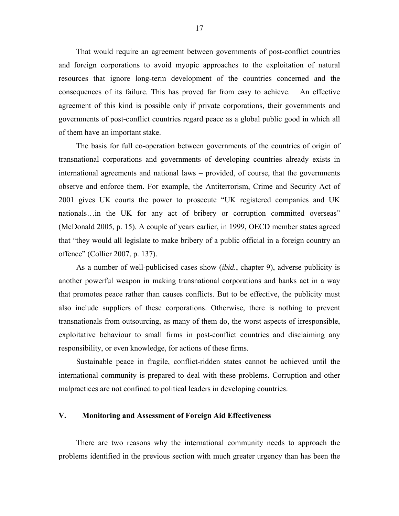That would require an agreement between governments of post-conflict countries and foreign corporations to avoid myopic approaches to the exploitation of natural resources that ignore long-term development of the countries concerned and the consequences of its failure. This has proved far from easy to achieve. An effective agreement of this kind is possible only if private corporations, their governments and governments of post-conflict countries regard peace as a global public good in which all of them have an important stake.

The basis for full co-operation between governments of the countries of origin of transnational corporations and governments of developing countries already exists in international agreements and national laws – provided, of course, that the governments observe and enforce them. For example, the Antiterrorism, Crime and Security Act of 2001 gives UK courts the power to prosecute "UK registered companies and UK nationals…in the UK for any act of bribery or corruption committed overseas" (McDonald 2005, p. 15). A couple of years earlier, in 1999, OECD member states agreed that "they would all legislate to make bribery of a public official in a foreign country an offence" (Collier 2007, p. 137).

As a number of well-publicised cases show (*ibid.*, chapter 9), adverse publicity is another powerful weapon in making transnational corporations and banks act in a way that promotes peace rather than causes conflicts. But to be effective, the publicity must also include suppliers of these corporations. Otherwise, there is nothing to prevent transnationals from outsourcing, as many of them do, the worst aspects of irresponsible, exploitative behaviour to small firms in post-conflict countries and disclaiming any responsibility, or even knowledge, for actions of these firms.

Sustainable peace in fragile, conflict-ridden states cannot be achieved until the international community is prepared to deal with these problems. Corruption and other malpractices are not confined to political leaders in developing countries.

# **V. Monitoring and Assessment of Foreign Aid Effectiveness**

There are two reasons why the international community needs to approach the problems identified in the previous section with much greater urgency than has been the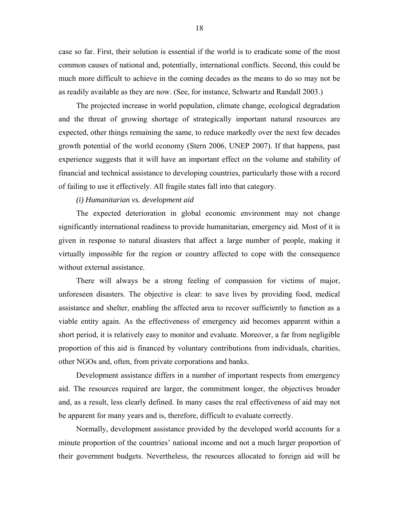case so far. First, their solution is essential if the world is to eradicate some of the most common causes of national and, potentially, international conflicts. Second, this could be much more difficult to achieve in the coming decades as the means to do so may not be as readily available as they are now. (See, for instance, Schwartz and Randall 2003.)

The projected increase in world population, climate change, ecological degradation and the threat of growing shortage of strategically important natural resources are expected, other things remaining the same, to reduce markedly over the next few decades growth potential of the world economy (Stern 2006, UNEP 2007). If that happens, past experience suggests that it will have an important effect on the volume and stability of financial and technical assistance to developing countries, particularly those with a record of failing to use it effectively. All fragile states fall into that category.

*(i) Humanitarian vs. development aid* 

The expected deterioration in global economic environment may not change significantly international readiness to provide humanitarian, emergency aid. Most of it is given in response to natural disasters that affect a large number of people, making it virtually impossible for the region or country affected to cope with the consequence without external assistance.

There will always be a strong feeling of compassion for victims of major, unforeseen disasters. The objective is clear: to save lives by providing food, medical assistance and shelter, enabling the affected area to recover sufficiently to function as a viable entity again. As the effectiveness of emergency aid becomes apparent within a short period, it is relatively easy to monitor and evaluate. Moreover, a far from negligible proportion of this aid is financed by voluntary contributions from individuals, charities, other NGOs and, often, from private corporations and banks.

Development assistance differs in a number of important respects from emergency aid. The resources required are larger, the commitment longer, the objectives broader and, as a result, less clearly defined. In many cases the real effectiveness of aid may not be apparent for many years and is, therefore, difficult to evaluate correctly.

Normally, development assistance provided by the developed world accounts for a minute proportion of the countries' national income and not a much larger proportion of their government budgets. Nevertheless, the resources allocated to foreign aid will be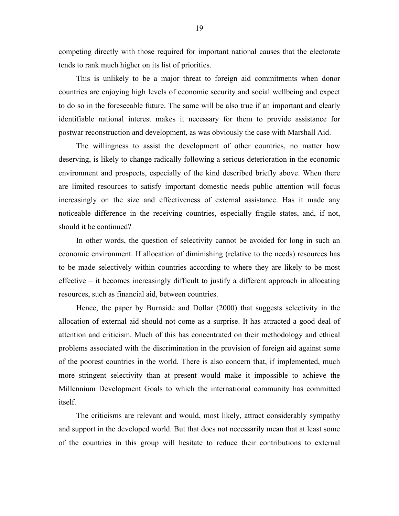competing directly with those required for important national causes that the electorate tends to rank much higher on its list of priorities.

This is unlikely to be a major threat to foreign aid commitments when donor countries are enjoying high levels of economic security and social wellbeing and expect to do so in the foreseeable future. The same will be also true if an important and clearly identifiable national interest makes it necessary for them to provide assistance for postwar reconstruction and development, as was obviously the case with Marshall Aid.

The willingness to assist the development of other countries, no matter how deserving, is likely to change radically following a serious deterioration in the economic environment and prospects, especially of the kind described briefly above. When there are limited resources to satisfy important domestic needs public attention will focus increasingly on the size and effectiveness of external assistance. Has it made any noticeable difference in the receiving countries, especially fragile states, and, if not, should it be continued?

In other words, the question of selectivity cannot be avoided for long in such an economic environment. If allocation of diminishing (relative to the needs) resources has to be made selectively within countries according to where they are likely to be most effective – it becomes increasingly difficult to justify a different approach in allocating resources, such as financial aid, between countries.

Hence, the paper by Burnside and Dollar (2000) that suggests selectivity in the allocation of external aid should not come as a surprise. It has attracted a good deal of attention and criticism. Much of this has concentrated on their methodology and ethical problems associated with the discrimination in the provision of foreign aid against some of the poorest countries in the world. There is also concern that, if implemented, much more stringent selectivity than at present would make it impossible to achieve the Millennium Development Goals to which the international community has committed itself.

The criticisms are relevant and would, most likely, attract considerably sympathy and support in the developed world. But that does not necessarily mean that at least some of the countries in this group will hesitate to reduce their contributions to external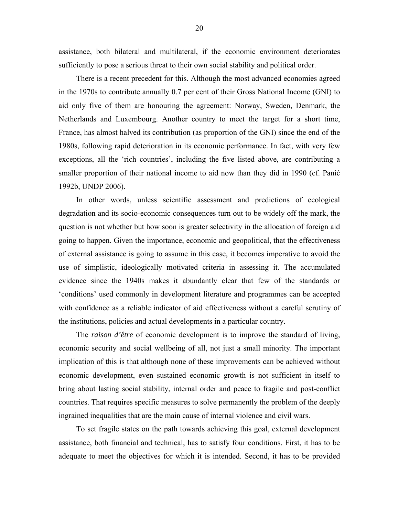assistance, both bilateral and multilateral, if the economic environment deteriorates sufficiently to pose a serious threat to their own social stability and political order.

There is a recent precedent for this. Although the most advanced economies agreed in the 1970s to contribute annually 0.7 per cent of their Gross National Income (GNI) to aid only five of them are honouring the agreement: Norway, Sweden, Denmark, the Netherlands and Luxembourg. Another country to meet the target for a short time, France, has almost halved its contribution (as proportion of the GNI) since the end of the 1980s, following rapid deterioration in its economic performance. In fact, with very few exceptions, all the 'rich countries', including the five listed above, are contributing a smaller proportion of their national income to aid now than they did in 1990 (cf. Panić 1992b, UNDP 2006).

In other words, unless scientific assessment and predictions of ecological degradation and its socio-economic consequences turn out to be widely off the mark, the question is not whether but how soon is greater selectivity in the allocation of foreign aid going to happen. Given the importance, economic and geopolitical, that the effectiveness of external assistance is going to assume in this case, it becomes imperative to avoid the use of simplistic, ideologically motivated criteria in assessing it. The accumulated evidence since the 1940s makes it abundantly clear that few of the standards or 'conditions' used commonly in development literature and programmes can be accepted with confidence as a reliable indicator of aid effectiveness without a careful scrutiny of the institutions, policies and actual developments in a particular country.

The *raison d'être* of economic development is to improve the standard of living, economic security and social wellbeing of all, not just a small minority. The important implication of this is that although none of these improvements can be achieved without economic development, even sustained economic growth is not sufficient in itself to bring about lasting social stability, internal order and peace to fragile and post-conflict countries. That requires specific measures to solve permanently the problem of the deeply ingrained inequalities that are the main cause of internal violence and civil wars.

To set fragile states on the path towards achieving this goal, external development assistance, both financial and technical, has to satisfy four conditions. First, it has to be adequate to meet the objectives for which it is intended. Second, it has to be provided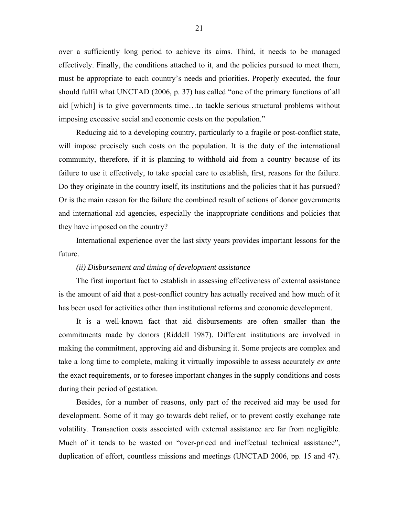over a sufficiently long period to achieve its aims. Third, it needs to be managed effectively. Finally, the conditions attached to it, and the policies pursued to meet them, must be appropriate to each country's needs and priorities. Properly executed, the four should fulfil what UNCTAD (2006, p. 37) has called "one of the primary functions of all aid [which] is to give governments time…to tackle serious structural problems without imposing excessive social and economic costs on the population."

Reducing aid to a developing country, particularly to a fragile or post-conflict state, will impose precisely such costs on the population. It is the duty of the international community, therefore, if it is planning to withhold aid from a country because of its failure to use it effectively, to take special care to establish, first, reasons for the failure. Do they originate in the country itself, its institutions and the policies that it has pursued? Or is the main reason for the failure the combined result of actions of donor governments and international aid agencies, especially the inappropriate conditions and policies that they have imposed on the country?

International experience over the last sixty years provides important lessons for the future.

### *(ii) Disbursement and timing of development assistance*

The first important fact to establish in assessing effectiveness of external assistance is the amount of aid that a post-conflict country has actually received and how much of it has been used for activities other than institutional reforms and economic development.

It is a well-known fact that aid disbursements are often smaller than the commitments made by donors (Riddell 1987). Different institutions are involved in making the commitment, approving aid and disbursing it. Some projects are complex and take a long time to complete, making it virtually impossible to assess accurately *ex ante* the exact requirements, or to foresee important changes in the supply conditions and costs during their period of gestation.

Besides, for a number of reasons, only part of the received aid may be used for development. Some of it may go towards debt relief, or to prevent costly exchange rate volatility. Transaction costs associated with external assistance are far from negligible. Much of it tends to be wasted on "over-priced and ineffectual technical assistance", duplication of effort, countless missions and meetings (UNCTAD 2006, pp. 15 and 47).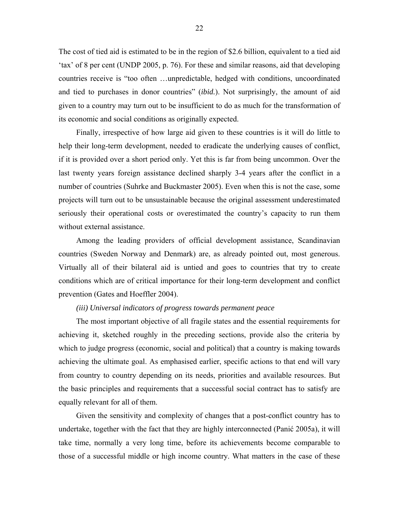The cost of tied aid is estimated to be in the region of \$2.6 billion, equivalent to a tied aid 'tax' of 8 per cent (UNDP 2005, p. 76). For these and similar reasons, aid that developing countries receive is "too often …unpredictable, hedged with conditions, uncoordinated and tied to purchases in donor countries" (*ibid.*). Not surprisingly, the amount of aid given to a country may turn out to be insufficient to do as much for the transformation of its economic and social conditions as originally expected.

Finally, irrespective of how large aid given to these countries is it will do little to help their long-term development, needed to eradicate the underlying causes of conflict, if it is provided over a short period only. Yet this is far from being uncommon. Over the last twenty years foreign assistance declined sharply 3-4 years after the conflict in a number of countries (Suhrke and Buckmaster 2005). Even when this is not the case, some projects will turn out to be unsustainable because the original assessment underestimated seriously their operational costs or overestimated the country's capacity to run them without external assistance.

Among the leading providers of official development assistance, Scandinavian countries (Sweden Norway and Denmark) are, as already pointed out, most generous. Virtually all of their bilateral aid is untied and goes to countries that try to create conditions which are of critical importance for their long-term development and conflict prevention (Gates and Hoeffler 2004).

# *(iii) Universal indicators of progress towards permanent peace*

The most important objective of all fragile states and the essential requirements for achieving it, sketched roughly in the preceding sections, provide also the criteria by which to judge progress (economic, social and political) that a country is making towards achieving the ultimate goal. As emphasised earlier, specific actions to that end will vary from country to country depending on its needs, priorities and available resources. But the basic principles and requirements that a successful social contract has to satisfy are equally relevant for all of them.

Given the sensitivity and complexity of changes that a post-conflict country has to undertake, together with the fact that they are highly interconnected (Panić 2005a), it will take time, normally a very long time, before its achievements become comparable to those of a successful middle or high income country. What matters in the case of these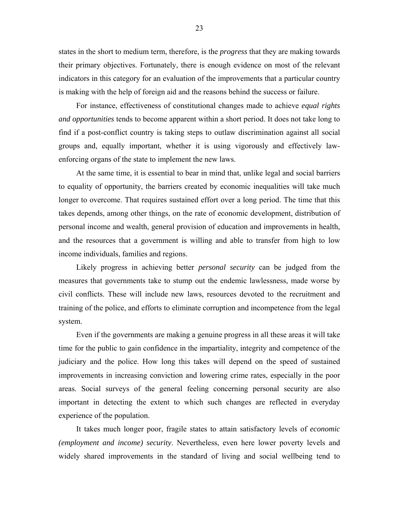states in the short to medium term, therefore, is the *progress* that they are making towards their primary objectives. Fortunately, there is enough evidence on most of the relevant indicators in this category for an evaluation of the improvements that a particular country is making with the help of foreign aid and the reasons behind the success or failure.

For instance, effectiveness of constitutional changes made to achieve *equal rights and opportunities* tends to become apparent within a short period. It does not take long to find if a post-conflict country is taking steps to outlaw discrimination against all social groups and, equally important, whether it is using vigorously and effectively lawenforcing organs of the state to implement the new laws.

At the same time, it is essential to bear in mind that, unlike legal and social barriers to equality of opportunity, the barriers created by economic inequalities will take much longer to overcome. That requires sustained effort over a long period. The time that this takes depends, among other things, on the rate of economic development, distribution of personal income and wealth, general provision of education and improvements in health, and the resources that a government is willing and able to transfer from high to low income individuals, families and regions.

Likely progress in achieving better *personal security* can be judged from the measures that governments take to stump out the endemic lawlessness, made worse by civil conflicts. These will include new laws, resources devoted to the recruitment and training of the police, and efforts to eliminate corruption and incompetence from the legal system.

Even if the governments are making a genuine progress in all these areas it will take time for the public to gain confidence in the impartiality, integrity and competence of the judiciary and the police. How long this takes will depend on the speed of sustained improvements in increasing conviction and lowering crime rates, especially in the poor areas. Social surveys of the general feeling concerning personal security are also important in detecting the extent to which such changes are reflected in everyday experience of the population.

It takes much longer poor, fragile states to attain satisfactory levels of *economic (employment and income) security*. Nevertheless, even here lower poverty levels and widely shared improvements in the standard of living and social wellbeing tend to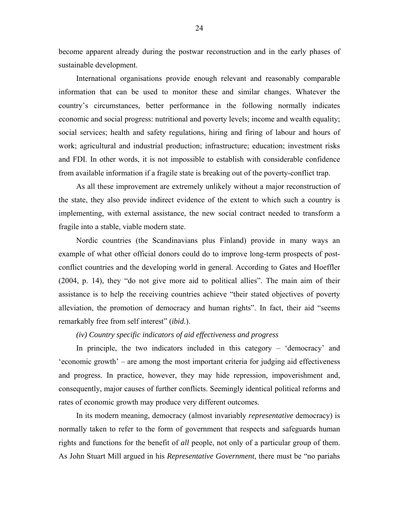become apparent already during the postwar reconstruction and in the early phases of sustainable development.

International organisations provide enough relevant and reasonably comparable information that can be used to monitor these and similar changes. Whatever the country's circumstances, better performance in the following normally indicates economic and social progress: nutritional and poverty levels; income and wealth equality; social services; health and safety regulations, hiring and firing of labour and hours of work; agricultural and industrial production; infrastructure; education; investment risks and FDI. In other words, it is not impossible to establish with considerable confidence from available information if a fragile state is breaking out of the poverty-conflict trap.

As all these improvement are extremely unlikely without a major reconstruction of the state, they also provide indirect evidence of the extent to which such a country is implementing, with external assistance, the new social contract needed to transform a fragile into a stable, viable modern state.

Nordic countries (the Scandinavians plus Finland) provide in many ways an example of what other official donors could do to improve long-term prospects of postconflict countries and the developing world in general. According to Gates and Hoeffler (2004, p. 14), they "do not give more aid to political allies". The main aim of their assistance is to help the receiving countries achieve "their stated objectives of poverty alleviation, the promotion of democracy and human rights". In fact, their aid "seems remarkably free from self interest" (*ibid.*).

# *(iv) Country specific indicators of aid effectiveness and progress*

In principle, the two indicators included in this category – 'democracy' and 'economic growth' – are among the most important criteria for judging aid effectiveness and progress. In practice, however, they may hide repression, impoverishment and, consequently, major causes of further conflicts. Seemingly identical political reforms and rates of economic growth may produce very different outcomes.

In its modern meaning, democracy (almost invariably *representative* democracy) is normally taken to refer to the form of government that respects and safeguards human rights and functions for the benefit of *all* people, not only of a particular group of them. As John Stuart Mill argued in his *Representative Government*, there must be "no pariahs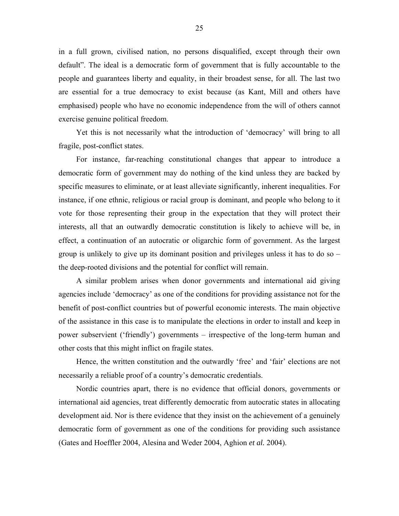in a full grown, civilised nation, no persons disqualified, except through their own default". The ideal is a democratic form of government that is fully accountable to the people and guarantees liberty and equality, in their broadest sense, for all. The last two are essential for a true democracy to exist because (as Kant, Mill and others have emphasised) people who have no economic independence from the will of others cannot exercise genuine political freedom.

Yet this is not necessarily what the introduction of 'democracy' will bring to all fragile, post-conflict states.

For instance, far-reaching constitutional changes that appear to introduce a democratic form of government may do nothing of the kind unless they are backed by specific measures to eliminate, or at least alleviate significantly, inherent inequalities. For instance, if one ethnic, religious or racial group is dominant, and people who belong to it vote for those representing their group in the expectation that they will protect their interests, all that an outwardly democratic constitution is likely to achieve will be, in effect, a continuation of an autocratic or oligarchic form of government. As the largest group is unlikely to give up its dominant position and privileges unless it has to do so – the deep-rooted divisions and the potential for conflict will remain.

A similar problem arises when donor governments and international aid giving agencies include 'democracy' as one of the conditions for providing assistance not for the benefit of post-conflict countries but of powerful economic interests. The main objective of the assistance in this case is to manipulate the elections in order to install and keep in power subservient ('friendly') governments – irrespective of the long-term human and other costs that this might inflict on fragile states.

Hence, the written constitution and the outwardly 'free' and 'fair' elections are not necessarily a reliable proof of a country's democratic credentials.

Nordic countries apart, there is no evidence that official donors, governments or international aid agencies, treat differently democratic from autocratic states in allocating development aid. Nor is there evidence that they insist on the achievement of a genuinely democratic form of government as one of the conditions for providing such assistance (Gates and Hoeffler 2004, Alesina and Weder 2004, Aghion *et al.* 2004).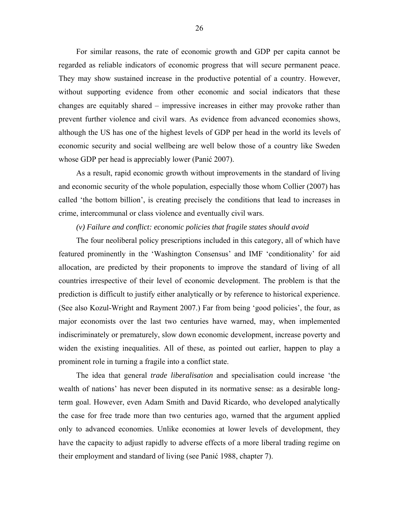For similar reasons, the rate of economic growth and GDP per capita cannot be regarded as reliable indicators of economic progress that will secure permanent peace. They may show sustained increase in the productive potential of a country. However, without supporting evidence from other economic and social indicators that these changes are equitably shared – impressive increases in either may provoke rather than prevent further violence and civil wars. As evidence from advanced economies shows, although the US has one of the highest levels of GDP per head in the world its levels of economic security and social wellbeing are well below those of a country like Sweden whose GDP per head is appreciably lower (Panić 2007).

As a result, rapid economic growth without improvements in the standard of living and economic security of the whole population, especially those whom Collier (2007) has called 'the bottom billion', is creating precisely the conditions that lead to increases in crime, intercommunal or class violence and eventually civil wars.

### *(v) Failure and conflict: economic policies that fragile states should avoid*

The four neoliberal policy prescriptions included in this category, all of which have featured prominently in the 'Washington Consensus' and IMF 'conditionality' for aid allocation, are predicted by their proponents to improve the standard of living of all countries irrespective of their level of economic development. The problem is that the prediction is difficult to justify either analytically or by reference to historical experience. (See also Kozul-Wright and Rayment 2007.) Far from being 'good policies', the four, as major economists over the last two centuries have warned, may, when implemented indiscriminately or prematurely, slow down economic development, increase poverty and widen the existing inequalities. All of these, as pointed out earlier, happen to play a prominent role in turning a fragile into a conflict state.

The idea that general *trade liberalisation* and specialisation could increase 'the wealth of nations' has never been disputed in its normative sense: as a desirable longterm goal. However, even Adam Smith and David Ricardo, who developed analytically the case for free trade more than two centuries ago, warned that the argument applied only to advanced economies. Unlike economies at lower levels of development, they have the capacity to adjust rapidly to adverse effects of a more liberal trading regime on their employment and standard of living (see Panić 1988, chapter 7).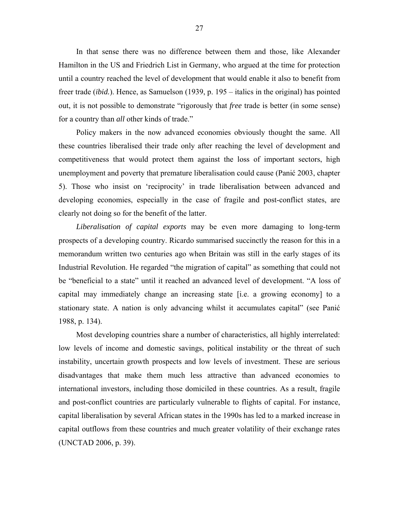In that sense there was no difference between them and those, like Alexander Hamilton in the US and Friedrich List in Germany, who argued at the time for protection until a country reached the level of development that would enable it also to benefit from freer trade (*ibid.*). Hence, as Samuelson (1939, p. 195 – italics in the original) has pointed out, it is not possible to demonstrate "rigorously that *free* trade is better (in some sense) for a country than *all* other kinds of trade."

Policy makers in the now advanced economies obviously thought the same. All these countries liberalised their trade only after reaching the level of development and competitiveness that would protect them against the loss of important sectors, high unemployment and poverty that premature liberalisation could cause (Panić 2003, chapter 5). Those who insist on 'reciprocity' in trade liberalisation between advanced and developing economies, especially in the case of fragile and post-conflict states, are clearly not doing so for the benefit of the latter.

*Liberalisation of capital exports* may be even more damaging to long-term prospects of a developing country. Ricardo summarised succinctly the reason for this in a memorandum written two centuries ago when Britain was still in the early stages of its Industrial Revolution. He regarded "the migration of capital" as something that could not be "beneficial to a state" until it reached an advanced level of development. "A loss of capital may immediately change an increasing state [i.e. a growing economy] to a stationary state. A nation is only advancing whilst it accumulates capital" (see Panić 1988, p. 134).

Most developing countries share a number of characteristics, all highly interrelated: low levels of income and domestic savings, political instability or the threat of such instability, uncertain growth prospects and low levels of investment. These are serious disadvantages that make them much less attractive than advanced economies to international investors, including those domiciled in these countries. As a result, fragile and post-conflict countries are particularly vulnerable to flights of capital. For instance, capital liberalisation by several African states in the 1990s has led to a marked increase in capital outflows from these countries and much greater volatility of their exchange rates (UNCTAD 2006, p. 39).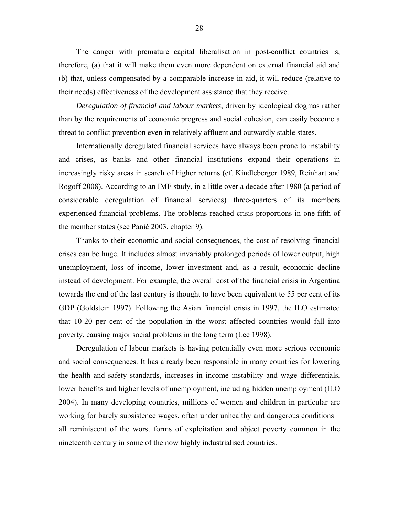The danger with premature capital liberalisation in post-conflict countries is, therefore, (a) that it will make them even more dependent on external financial aid and (b) that, unless compensated by a comparable increase in aid, it will reduce (relative to their needs) effectiveness of the development assistance that they receive.

*Deregulation of financial and labour markets*, driven by ideological dogmas rather than by the requirements of economic progress and social cohesion, can easily become a threat to conflict prevention even in relatively affluent and outwardly stable states.

Internationally deregulated financial services have always been prone to instability and crises, as banks and other financial institutions expand their operations in increasingly risky areas in search of higher returns (cf. Kindleberger 1989, Reinhart and Rogoff 2008). According to an IMF study, in a little over a decade after 1980 (a period of considerable deregulation of financial services) three-quarters of its members experienced financial problems. The problems reached crisis proportions in one-fifth of the member states (see Panić 2003, chapter 9).

Thanks to their economic and social consequences, the cost of resolving financial crises can be huge. It includes almost invariably prolonged periods of lower output, high unemployment, loss of income, lower investment and, as a result, economic decline instead of development. For example, the overall cost of the financial crisis in Argentina towards the end of the last century is thought to have been equivalent to 55 per cent of its GDP (Goldstein 1997). Following the Asian financial crisis in 1997, the ILO estimated that 10-20 per cent of the population in the worst affected countries would fall into poverty, causing major social problems in the long term (Lee 1998).

Deregulation of labour markets is having potentially even more serious economic and social consequences. It has already been responsible in many countries for lowering the health and safety standards, increases in income instability and wage differentials, lower benefits and higher levels of unemployment, including hidden unemployment (ILO 2004). In many developing countries, millions of women and children in particular are working for barely subsistence wages, often under unhealthy and dangerous conditions – all reminiscent of the worst forms of exploitation and abject poverty common in the nineteenth century in some of the now highly industrialised countries.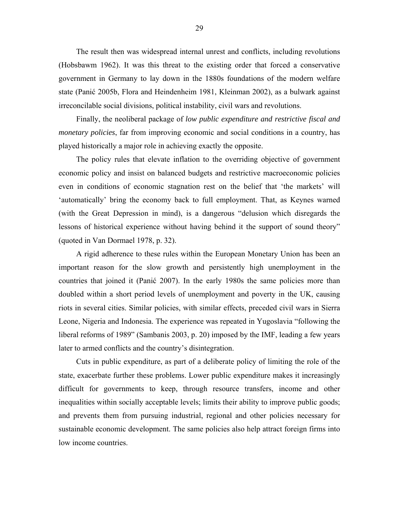The result then was widespread internal unrest and conflicts, including revolutions (Hobsbawm 1962). It was this threat to the existing order that forced a conservative government in Germany to lay down in the 1880s foundations of the modern welfare state (Panić 2005b, Flora and Heindenheim 1981, Kleinman 2002), as a bulwark against irreconcilable social divisions, political instability, civil wars and revolutions.

Finally, the neoliberal package of *low public expenditure and restrictive fiscal and monetary policies*, far from improving economic and social conditions in a country, has played historically a major role in achieving exactly the opposite.

The policy rules that elevate inflation to the overriding objective of government economic policy and insist on balanced budgets and restrictive macroeconomic policies even in conditions of economic stagnation rest on the belief that 'the markets' will 'automatically' bring the economy back to full employment. That, as Keynes warned (with the Great Depression in mind), is a dangerous "delusion which disregards the lessons of historical experience without having behind it the support of sound theory" (quoted in Van Dormael 1978, p. 32).

A rigid adherence to these rules within the European Monetary Union has been an important reason for the slow growth and persistently high unemployment in the countries that joined it (Panić 2007). In the early 1980s the same policies more than doubled within a short period levels of unemployment and poverty in the UK, causing riots in several cities. Similar policies, with similar effects, preceded civil wars in Sierra Leone, Nigeria and Indonesia. The experience was repeated in Yugoslavia "following the liberal reforms of 1989" (Sambanis 2003, p. 20) imposed by the IMF, leading a few years later to armed conflicts and the country's disintegration.

Cuts in public expenditure, as part of a deliberate policy of limiting the role of the state, exacerbate further these problems. Lower public expenditure makes it increasingly difficult for governments to keep, through resource transfers, income and other inequalities within socially acceptable levels; limits their ability to improve public goods; and prevents them from pursuing industrial, regional and other policies necessary for sustainable economic development. The same policies also help attract foreign firms into low income countries.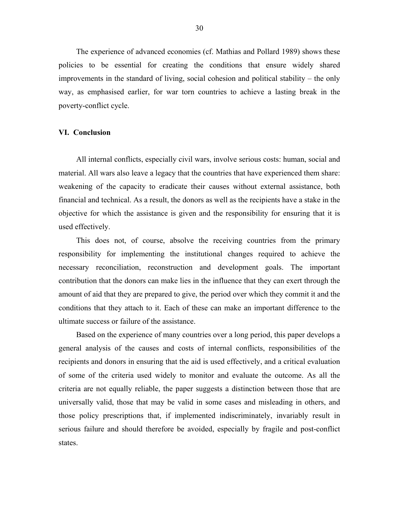The experience of advanced economies (cf. Mathias and Pollard 1989) shows these policies to be essential for creating the conditions that ensure widely shared improvements in the standard of living, social cohesion and political stability – the only way, as emphasised earlier, for war torn countries to achieve a lasting break in the poverty-conflict cycle.

### **VI. Conclusion**

All internal conflicts, especially civil wars, involve serious costs: human, social and material. All wars also leave a legacy that the countries that have experienced them share: weakening of the capacity to eradicate their causes without external assistance, both financial and technical. As a result, the donors as well as the recipients have a stake in the objective for which the assistance is given and the responsibility for ensuring that it is used effectively.

This does not, of course, absolve the receiving countries from the primary responsibility for implementing the institutional changes required to achieve the necessary reconciliation, reconstruction and development goals. The important contribution that the donors can make lies in the influence that they can exert through the amount of aid that they are prepared to give, the period over which they commit it and the conditions that they attach to it. Each of these can make an important difference to the ultimate success or failure of the assistance.

Based on the experience of many countries over a long period, this paper develops a general analysis of the causes and costs of internal conflicts, responsibilities of the recipients and donors in ensuring that the aid is used effectively, and a critical evaluation of some of the criteria used widely to monitor and evaluate the outcome. As all the criteria are not equally reliable, the paper suggests a distinction between those that are universally valid, those that may be valid in some cases and misleading in others, and those policy prescriptions that, if implemented indiscriminately, invariably result in serious failure and should therefore be avoided, especially by fragile and post-conflict states.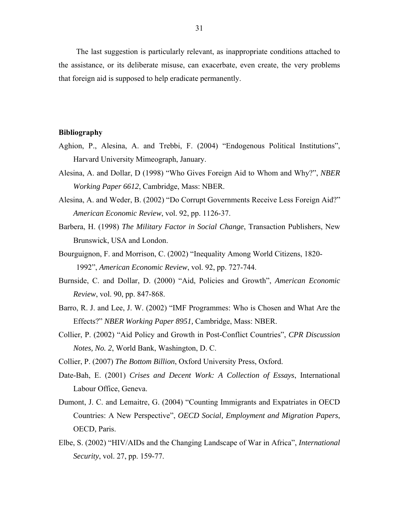The last suggestion is particularly relevant, as inappropriate conditions attached to the assistance, or its deliberate misuse, can exacerbate, even create, the very problems that foreign aid is supposed to help eradicate permanently.

# **Bibliography**

- Aghion, P., Alesina, A. and Trebbi, F. (2004) "Endogenous Political Institutions", Harvard University Mimeograph, January.
- Alesina, A. and Dollar, D (1998) "Who Gives Foreign Aid to Whom and Why?", *NBER Working Paper 6612*, Cambridge, Mass: NBER.
- Alesina, A. and Weder, B. (2002) "Do Corrupt Governments Receive Less Foreign Aid?" *American Economic Review*, vol. 92, pp. 1126-37.
- Barbera, H. (1998) *The Military Factor in Social Change*, Transaction Publishers, New Brunswick, USA and London.
- Bourguignon, F. and Morrison, C. (2002) "Inequality Among World Citizens, 1820- 1992", *American Economic Review*, vol. 92, pp. 727-744.
- Burnside, C. and Dollar, D. (2000) "Aid, Policies and Growth", *American Economic Review*, vol. 90, pp. 847-868.
- Barro, R. J. and Lee, J. W. (2002) "IMF Programmes: Who is Chosen and What Are the Effects?" *NBER Working Paper 8951,* Cambridge, Mass: NBER.
- Collier, P. (2002) "Aid Policy and Growth in Post-Conflict Countries", *CPR Discussion Notes, No. 2*, World Bank, Washington, D. C.
- Collier, P. (2007) *The Bottom Billion*, Oxford University Press, Oxford.
- Date-Bah, E. (2001) *Crises and Decent Work: A Collection of Essays*, International Labour Office, Geneva.
- Dumont, J. C. and Lemaitre, G. (2004) "Counting Immigrants and Expatriates in OECD Countries: A New Perspective", *OECD Social, Employment and Migration Papers*, OECD, Paris.
- Elbe, S. (2002) "HIV/AIDs and the Changing Landscape of War in Africa", *International Security*, vol. 27, pp. 159-77.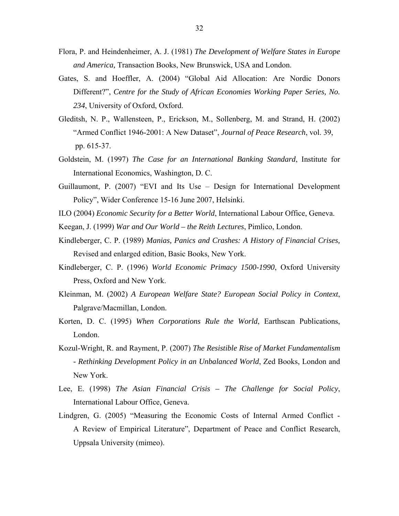- Flora, P. and Heindenheimer, A. J. (1981) *The Development of Welfare States in Europe and America,* Transaction Books, New Brunswick, USA and London.
- Gates, S. and Hoeffler, A. (2004) "Global Aid Allocation: Are Nordic Donors Different?", *Centre for the Study of African Economies Working Paper Series, No. 234*, University of Oxford, Oxford.
- Gleditsh, N. P., Wallensteen, P., Erickson, M., Sollenberg, M. and Strand, H. (2002) "Armed Conflict 1946-2001: A New Dataset", *Journal of Peace Research*, vol. 39, pp. 615-37.
- Goldstein, M. (1997) *The Case for an International Banking Standard*, Institute for International Economics, Washington, D. C.
- Guillaumont, P. (2007) "EVI and Its Use Design for International Development Policy", Wider Conference 15-16 June 2007, Helsinki.
- ILO (2004) *Economic Security for a Better World*, International Labour Office, Geneva.
- Keegan, J. (1999) *War and Our World the Reith Lectures*, Pimlico, London.
- Kindleberger, C. P. (1989) *Manias, Panics and Crashes: A History of Financial Crises,*  Revised and enlarged edition, Basic Books, New York.
- Kindleberger, C. P. (1996) *World Economic Primacy 1500-1990*, Oxford University Press, Oxford and New York.
- Kleinman, M. (2002) *A European Welfare State? European Social Policy in Context*, Palgrave/Macmillan, London.
- Korten, D. C. (1995) *When Corporations Rule the World*, Earthscan Publications, London.
- Kozul-Wright, R. and Rayment, P. (2007) *The Resistible Rise of Market Fundamentalism - Rethinking Development Policy in an Unbalanced World*, Zed Books, London and New York.
- Lee, E. (1998) *The Asian Financial Crisis The Challenge for Social Policy*, International Labour Office, Geneva.
- Lindgren, G. (2005) "Measuring the Economic Costs of Internal Armed Conflict A Review of Empirical Literature", Department of Peace and Conflict Research, Uppsala University (mimeo).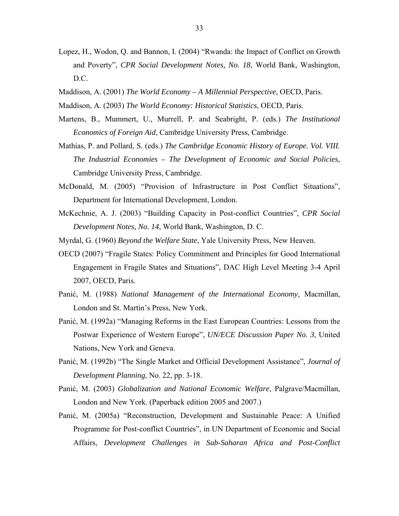- Lopez, H., Wodon, Q. and Bannon, I. (2004) "Rwanda: the Impact of Conflict on Growth and Poverty", *CPR Social Development Notes, No. 18*, World Bank, Washington, D.C.
- Maddison, A. (2001) *The World Economy A Millennial Perspective*, OECD, Paris.
- Maddison, A. (2003) *The World Economy: Historical Statistics*, OECD, Paris.
- Martens, B., Mummert, U., Murrell, P. and Seabright, P. (eds.) *The Institutional Economics of Foreign Aid*, Cambridge University Press, Cambridge.
- Mathias, P. and Pollard, S. (eds.) *The Cambridge Economic History of Europe. Vol. VIII. The Industrial Economies – The Development of Economic and Social Policies*, Cambridge University Press, Cambridge.
- McDonald, M. (2005) "Provision of Infrastructure in Post Conflict Situations", Department for International Development, London.
- McKechnie, A. J. (2003) "Building Capacity in Post-conflict Countries", *CPR Social Development Notes, No. 14*, World Bank, Washington, D. C.
- Myrdal, G. (1960) *Beyond the Welfare State*, Yale University Press, New Heaven.
- OECD (2007) "Fragile States: Policy Commitment and Principles for Good International Engagement in Fragile States and Situations", DAC High Level Meeting 3-4 April 2007, OECD, Paris.
- Panić, M. (1988) *National Management of the International Economy*, Macmillan, London and St. Martin's Press, New York.
- Panić, M. (1992a) "Managing Reforms in the East European Countries: Lessons from the Postwar Experience of Western Europe", *UN/ECE Discussion Paper No. 3*, United Nations, New York and Geneva.
- Panić, M. (1992b) "The Single Market and Official Development Assistance", *Journal of Development Planning*, No. 22, pp. 3-18.
- Panić, M. (2003) *Globalization and National Economic Welfare*, Palgrave/Macmillan, London and New York. (Paperback edition 2005 and 2007.)
- Panić, M. (2005a) "Reconstruction, Development and Sustainable Peace: A Unified Programme for Post-conflict Countries", in UN Department of Economic and Social Affairs, *Development Challenges in Sub-Saharan Africa and Post-Conflict*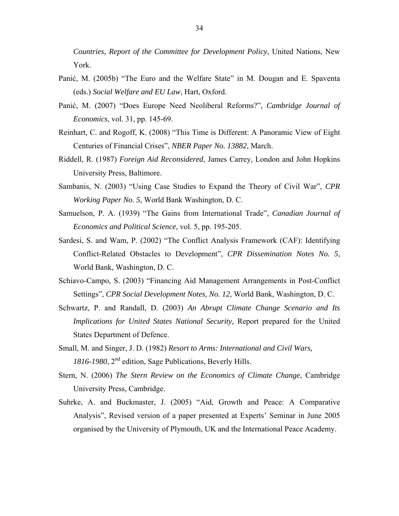*Countries, Report of the Committee for Development Policy*, United Nations, New York.

- Panić, M. (2005b) "The Euro and the Welfare State" in M. Dougan and E. Spaventa (eds.) *Social Welfare and EU Law*, Hart, Oxford.
- Panić, M. (2007) "Does Europe Need Neoliberal Reforms?", *Cambridge Journal of Economics*, vol. 31, pp. 145-69.
- Reinhart, C. and Rogoff, K. (2008) "This Time is Different: A Panoramic View of Eight Centuries of Financial Crises", *NBER Paper No. 13882*, March.
- Riddell, R. (1987) *Foreign Aid Reconsidered*, James Carrey, London and John Hopkins University Press, Baltimore.
- Sambanis, N. (2003) "Using Case Studies to Expand the Theory of Civil War", *CPR Working Paper No. 5*, World Bank Washington, D. C.
- Samuelson, P. A. (1939) "The Gains from International Trade", *Canadian Journal of Economics and Political Science*, vol. 5, pp. 195-205.
- Sardesi, S. and Wam, P. (2002) "The Conflict Analysis Framework (CAF): Identifying Conflict-Related Obstacles to Development", *CPR Dissemination Notes No. 5*, World Bank, Washington, D. C.
- Schiavo-Campo, S. (2003) "Financing Aid Management Arrangements in Post-Conflict Settings", *CPR Social Development Notes, No. 12*, World Bank, Washington, D. C.
- Schwartz, P. and Randall, D. (2003) *An Abrupt Climate Change Scenario and Its Implications for United States National Security,* Report prepared for the United States Department of Defence.
- Small, M. and Singer, J. D. (1982) *Resort to Arms: International and Civil Wars, 1816-1980*, 2nd edition, Sage Publications, Beverly Hills.
- Stern, N. (2006) *The Stern Review on the Economics of Climate Change*, Cambridge University Press, Cambridge.
- Suhrke, A. and Buckmaster, J. (2005) "Aid, Growth and Peace: A Comparative Analysis", Revised version of a paper presented at Experts' Seminar in June 2005 organised by the University of Plymouth, UK and the International Peace Academy.